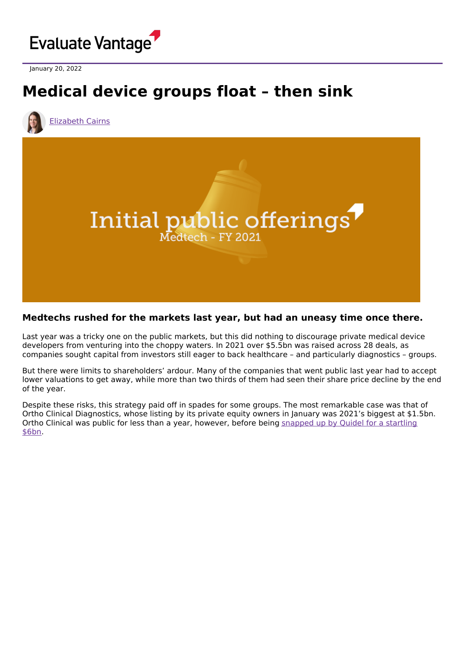

January 20, 2022

## **Medical device groups float – then sink**



[Elizabeth](https://www.evaluate.com/vantage/editorial-team/elizabeth-cairns) Cairns



## **Medtechs rushed for the markets last year, but had an uneasy time once there.**

Last year was a tricky one on the public markets, but this did nothing to discourage private medical device developers from venturing into the choppy waters. In 2021 over \$5.5bn was raised across 28 deals, as companies sought capital from investors still eager to back healthcare – and particularly diagnostics – groups.

But there were limits to shareholders' ardour. Many of the companies that went public last year had to accept lower valuations to get away, while more than two thirds of them had seen their share price decline by the end of the year.

Despite these risks, this strategy paid off in spades for some groups. The most remarkable case was that of Ortho Clinical Diagnostics, whose listing by its private equity owners in January was 2021's biggest at \$1.5bn. Ortho Clinical was public for less than a year, [however,](https://www.evaluate.com/vantage/articles/news/deals/medtech-developments-over-christmas-period) before being snapped up by Quidel for a startling \$6bn.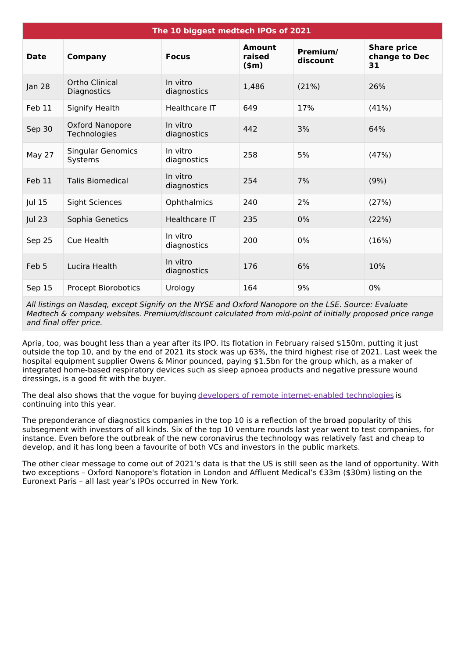| The 10 biggest medtech IPOs of 2021 |                                     |                         |                             |                      |                                           |
|-------------------------------------|-------------------------------------|-------------------------|-----------------------------|----------------------|-------------------------------------------|
| <b>Date</b>                         | <b>Company</b>                      | <b>Focus</b>            | Amount<br>raised<br>$(\$m)$ | Premium/<br>discount | <b>Share price</b><br>change to Dec<br>31 |
| Jan 28                              | Ortho Clinical<br>Diagnostics       | In vitro<br>diagnostics | 1,486                       | (21%)                | 26%                                       |
| Feb 11                              | Signify Health                      | Healthcare IT           | 649                         | 17%                  | (41%)                                     |
| Sep 30                              | Oxford Nanopore<br>Technologies     | In vitro<br>diagnostics | 442                         | 3%                   | 64%                                       |
| May 27                              | <b>Singular Genomics</b><br>Systems | In vitro<br>diagnostics | 258                         | 5%                   | (47%)                                     |
| Feb 11                              | <b>Talis Biomedical</b>             | In vitro<br>diagnostics | 254                         | 7%                   | (9%)                                      |
| Jul 15                              | <b>Sight Sciences</b>               | Ophthalmics             | 240                         | 2%                   | (27%)                                     |
| <b>Jul 23</b>                       | Sophia Genetics                     | Healthcare IT           | 235                         | $0\%$                | (22%)                                     |
| Sep 25                              | Cue Health                          | In vitro<br>diagnostics | 200                         | $0\%$                | (16%)                                     |
| Feb 5                               | Lucira Health                       | In vitro<br>diagnostics | 176                         | 6%                   | 10%                                       |
| Sep 15                              | <b>Procept Biorobotics</b>          | Urology                 | 164                         | 9%                   | 0%                                        |

All listings on Nasdaq, except Signify on the NYSE and Oxford Nanopore on the LSE. Source: Evaluate Medtech & company websites. Premium/discount calculated from mid-point of initially proposed price range and final offer price.

Apria, too, was bought less than a year after its IPO. Its flotation in February raised \$150m, putting it just outside the top 10, and by the end of 2021 its stock was up 63%, the third highest rise of 2021. Last week the hospital equipment supplier Owens & Minor pounced, paying \$1.5bn for the group which, as a maker of integrated home-based respiratory devices such as sleep apnoea products and negative pressure wound dressings, is a good fit with the buyer.

The deal also shows that the vogue for buying developers of remote [internet-enabled](https://www.evaluate.com/vantage/articles/insights/ma/device-makers-buy-big) technologies is continuing into this year.

The preponderance of diagnostics companies in the top 10 is a reflection of the broad popularity of this subsegment with investors of all kinds. Six of the top 10 venture rounds last year went to test companies, for instance. Even before the outbreak of the new coronavirus the technology was relatively fast and cheap to develop, and it has long been a favourite of both VCs and investors in the public markets.

The other clear message to come out of 2021's data is that the US is still seen as the land of opportunity. With two exceptions – Oxford Nanopore's flotation in London and Affluent Medical's €33m (\$30m) listing on the Euronext Paris – all last year's IPOs occurred in New York.